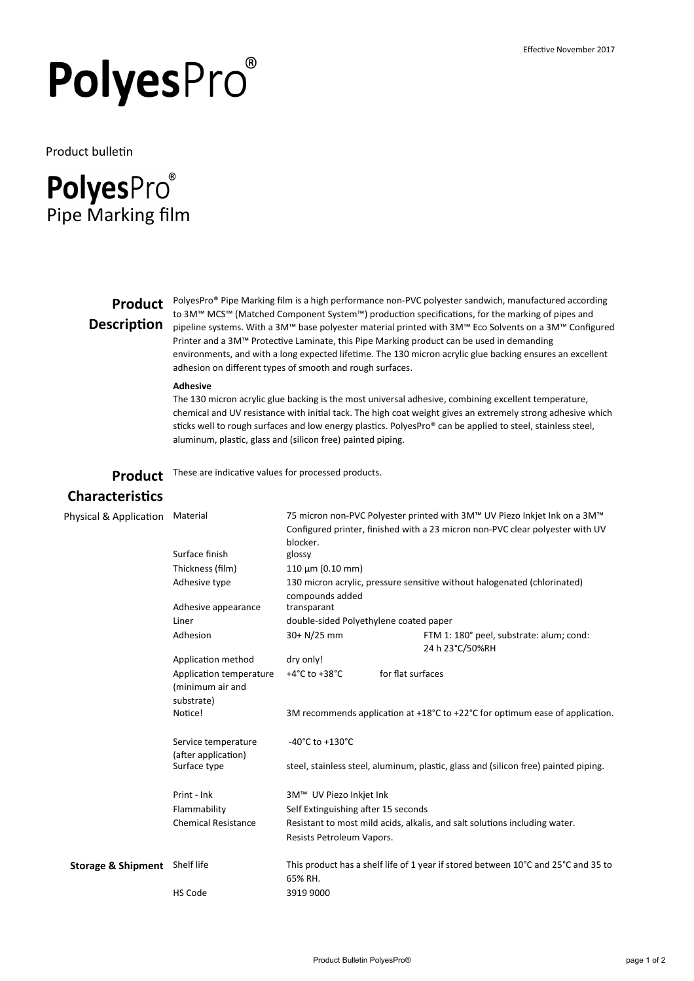# PolyesPro®

Product bulletin

# **PolyesPro**® Pipe Marking film

# **Description**

**Product** PolyesPro® Pipe Marking film is a high performance non-PVC polyester sandwich, manufactured according<br>Product the 3MW MCCW (Matched Companent Suttan W) production accel<sup>is</sup>cations for the marking of gines and to 3M™ MCS™ (Matched Component System™) production specifications, for the marking of pipes and pipeline systems. With a 3M™ base polyester material printed with 3M™ Eco Solvents on a 3M™ Configured Printer and a 3M™ Protective Laminate, this Pipe Marking product can be used in demanding environments, and with a long expected lifetime. The 130 micron acrylic glue backing ensures an excellent adhesion on different types of smooth and rough surfaces.

#### **Adhesive**

The 130 micron acrylic glue backing is the most universal adhesive, combining excellent temperature, chemical and UV resistance with initial tack. The high coat weight gives an extremely strong adhesive which sticks well to rough surfaces and low energy plastics. PolyesPro® can be applied to steel, stainless steel, aluminum, plastic, glass and (silicon free) painted piping.

**Product**  These are indicative values for processed products.

## **Characteristics**

| Physical & Application        | Material                                                  | 75 micron non-PVC Polyester printed with 3M™ UV Piezo Inkjet Ink on a 3M™<br>Configured printer, finished with a 23 micron non-PVC clear polyester with UV<br>blocker. |                                                                                   |  |  |  |
|-------------------------------|-----------------------------------------------------------|------------------------------------------------------------------------------------------------------------------------------------------------------------------------|-----------------------------------------------------------------------------------|--|--|--|
|                               | Surface finish                                            | glossy                                                                                                                                                                 |                                                                                   |  |  |  |
|                               | Thickness (film)                                          | $110 \mu m (0.10 mm)$                                                                                                                                                  |                                                                                   |  |  |  |
|                               | Adhesive type                                             | compounds added                                                                                                                                                        | 130 micron acrylic, pressure sensitive without halogenated (chlorinated)          |  |  |  |
|                               | Adhesive appearance                                       | transparant                                                                                                                                                            |                                                                                   |  |  |  |
|                               | Liner                                                     | double-sided Polyethylene coated paper                                                                                                                                 |                                                                                   |  |  |  |
|                               | Adhesion                                                  | $30+ N/25$ mm                                                                                                                                                          | FTM 1: 180° peel, substrate: alum; cond:<br>24 h 23°C/50%RH                       |  |  |  |
|                               | Application method                                        | dry only!                                                                                                                                                              |                                                                                   |  |  |  |
|                               | Application temperature<br>(minimum air and<br>substrate) | +4 $^{\circ}$ C to +38 $^{\circ}$ C                                                                                                                                    | for flat surfaces                                                                 |  |  |  |
|                               | Notice!                                                   | 3M recommends application at $+18^{\circ}$ C to $+22^{\circ}$ C for optimum ease of application.                                                                       |                                                                                   |  |  |  |
|                               | Service temperature<br>(after application)                | $-40^{\circ}$ C to $+130^{\circ}$ C                                                                                                                                    |                                                                                   |  |  |  |
|                               | Surface type                                              | steel, stainless steel, aluminum, plastic, glass and (silicon free) painted piping.                                                                                    |                                                                                   |  |  |  |
|                               | Print - Ink                                               | 3M™ UV Piezo Inkjet Ink                                                                                                                                                |                                                                                   |  |  |  |
|                               | Flammability                                              | Self Extinguishing after 15 seconds                                                                                                                                    |                                                                                   |  |  |  |
|                               | <b>Chemical Resistance</b>                                | Resistant to most mild acids, alkalis, and salt solutions including water.                                                                                             |                                                                                   |  |  |  |
|                               |                                                           | Resists Petroleum Vapors.                                                                                                                                              |                                                                                   |  |  |  |
| <b>Storage &amp; Shipment</b> | Shelf life                                                | 65% RH.                                                                                                                                                                | This product has a shelf life of 1 year if stored between 10°C and 25°C and 35 to |  |  |  |
|                               | <b>HS Code</b>                                            | 3919 9000                                                                                                                                                              |                                                                                   |  |  |  |